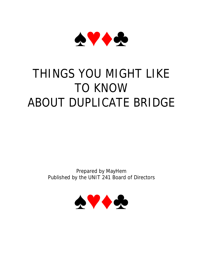

# THINGS YOU MIGHT LIKE TO KNOW ABOUT DUPLICATE BRIDGE

Prepared by MayHem Published by the UNIT 241 Board of Directors

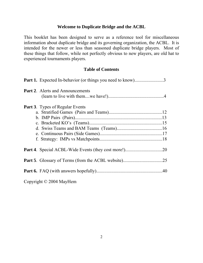## **Welcome to Duplicate Bridge and the ACBL**

This booklet has been designed to serve as a reference tool for miscellaneous information about duplicate bridge and its governing organization, the ACBL. It is intended for the newer or less than seasoned duplicate bridge players. Most of these things that follow, while not perfectly obvious to new players, are old hat to experienced tournaments players.

## **Table of Contents**

| <b>Part 1.</b> Expected In-behavior (or things you need to know)3 |  |
|-------------------------------------------------------------------|--|
| <b>Part 2.</b> Alerts and Announcements                           |  |
|                                                                   |  |
| <b>Part 3.</b> Types of Regular Events                            |  |
|                                                                   |  |
|                                                                   |  |
|                                                                   |  |
|                                                                   |  |
|                                                                   |  |
|                                                                   |  |
|                                                                   |  |
|                                                                   |  |
|                                                                   |  |
|                                                                   |  |

Copyright © 2004 MayHem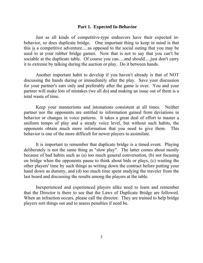#### **Part 1. Expected In-Behavior**

Just as all kinds of competitive-type endeavors have their expected inbehavior, so does duplicate bridge. One important thing to keep in mind is that this is a competitive adventure.....as opposed to the social outing that you may be used to at your rubber bridge games. Now that is not to say that you can't be sociable at the duplicate table. Of course you can.....and should..... just don't carry it to extreme by talking during the auction or play. Do it between hands.

Another important habit to develop if you haven't already is that of NOT discussing the hands during or immediately after the play. Save your discussion for your partner's ears only and preferably after the game is over. You and your partner will make lots of mistakes (we all do) and making an issue out of them is a total waste of time.

Keep your mannerisms and intonations consistent at all times. Neither partner nor the opponents are entitled to information gained from deviations in behavior or changes in voice patterns. It takes a great deal of effort to master a uniform tempo of play and a steady voice level, but without such habits, the opponents obtain much more information that you need to give them. This behavior is one of the more difficult for newer players to assimilate.

It is important to remember that duplicate bridge is a timed event. Playing deliberately is not the same thing as "slow play". The latter comes about mostly because of bad habits such as (a) too much general conversation, (b) not focusing on bridge when the opponents pause to think about bids or plays, (c) wasting the other players' time by such things as writing down the contract before putting your hand down as dummy, and (d) too much time spent studying the traveler from the last board and discussing the results among the players at the table.

Inexperienced and experienced players alike need to learn and remember that the Director is there to see that the Laws of Duplicate Bridge are followed. When an infraction occurs, please call the director. They are trained to help bridge players sort things out and to assess penalties if need be.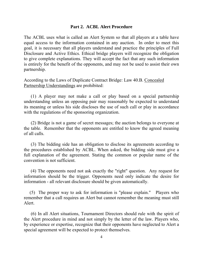## **Part 2. ACBL Alert Procedure**

The ACBL uses what is called an Alert System so that all players at a table have equal access to the information contained in any auction. In order to meet this goal, it is necessary that all players understand and practice the principles of Full Disclosure and Active Ethics. Ethical bridge players will recognize the obligation to give complete explanations. They will accept the fact that any such information is entirely for the benefit of the opponents, and may not be used to assist their own partnership.

According to the Laws of Duplicate Contract Bridge: Law 40.B. Concealed Partnership Understandings are prohibited:

 (1) A player may not make a call or play based on a special partnership understanding unless an opposing pair may reasonably be expected to understand its meaning or unless his side discloses the use of such call or play in accordance with the regulations of the sponsoring organization.

 (2) Bridge is not a game of secret messages; the auction belongs to everyone at the table. Remember that the opponents are entitled to know the agreed meaning of all calls.

 (3) The bidding side has an obligation to disclose its agreements according to the procedures established by ACBL. When asked, the bidding side must give a full explanation of the agreement. Stating the common or popular name of the convention is not sufficient.

 (4) The opponents need not ask exactly the "right" question. Any request for information should be the trigger. Opponents need only indicate the desire for information - all relevant disclosure should be given automatically.

 (5) The proper way to ask for information is "please explain." Players who remember that a call requires an Alert but cannot remember the meaning must still Alert.

 (6) In all Alert situations, Tournament Directors should rule with the spirit of the Alert procedure in mind and not simply by the letter of the law. Players who, by experience or expertise, recognize that their opponents have neglected to Alert a special agreement will be expected to protect themselves.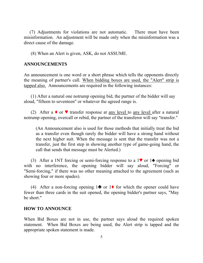(7) Adjustments for violations are not automatic. There must have been misinformation. An adjustment will be made only when the misinformation was a direct cause of the damage.

(8) When an Alert is given, ASK, do not ASSUME.

## **ANNOUNCEMENTS**

An announcement is one word or a short phrase which tells the opponents directly the meaning of partner's call. When bidding boxes are used, the "Alert" strip is tapped also. Announcements are required in the following instances:

 (1) After a natural one notrump opening bid, the partner of the bidder will say aloud, "fifteen to seventeen" or whatever the agreed range is.

(2) After a  $\bullet$  or  $\bullet$  transfer response at any level to any level after a natural notrump opening, overcall or rebid, the partner of the transferor will say "transfer."

(An Announcement also is used for those methods that initially treat the bid as a transfer even though rarely the bidder will have a strong hand without the next higher suit. When the message is sent that the transfer was not a transfer, just the first step in showing another type of game-going hand, the call that sends that message must be Alerted.)

(3) After a 1NT forcing or semi-forcing response to a 1<sup> $\bullet$ </sup> or 1 $\triangle$  opening bid with no interference, the opening bidder will say aloud, "Forcing" or "Semi-forcing," if there was no other meaning attached to the agreement (such as showing four or more spades).

(4) After a non-forcing opening  $1\blacktriangleright$  or  $1\blacklozenge$  for which the opener could have fewer than three cards in the suit opened, the opening bidder's partner says, "May be short."

## **HOW TO ANNOUNCE**

When Bid Boxes are not in use, the partner says aloud the required spoken statement. When Bid Boxes are being used, the Alert strip is tapped and the appropriate spoken statement is made.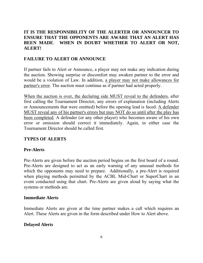# **IT IS THE RESPONSIBILITY OF THE ALERTER OR ANNOUNCER TO ENSURE THAT THE OPPONENTS ARE AWARE THAT AN ALERT HAS BEEN MADE**. **WHEN IN DOUBT WHETHER TO ALERT OR NOT, ALERT!**

# **FAILURE TO ALERT OR ANNOUNCE**

If partner fails to Alert or Announce, a player may not make any indication during the auction. Showing surprise or discomfort may awaken partner to the error and would be a violation of Law. In addition, a player may not make allowances for partner's error. The auction must continue as if partner had acted properly.

When the auction is over, the declaring side MUST reveal to the defenders, after first calling the Tournament Director, any errors of explanation (including Alerts or Announcements that were omitted) before the opening lead is faced. A defender MUST reveal any of his partner's errors but may NOT do so until after the play has been completed. A defender (or any other player) who becomes aware of his own error or omission should correct it immediately. Again, in either case the Tournament Director should be called first.

# **TYPES OF ALERTS**

# **Pre-Alerts**

Pre-Alerts are given before the auction period begins on the first board of a round. Pre-Alerts are designed to act as an early warning of any unusual methods for which the opponents may need to prepare. Additionally, a pre-Alert is required when playing methods permitted by the ACBL Mid-Chart or SuperChart in an event conducted using that chart. Pre-Alerts are given aloud by saying what the systems or methods are.

## **Immediate Alerts**

Immediate Alerts are given at the time partner makes a call which requires an Alert. These Alerts are given in the form described under How to Alert above.

## **Delayed Alerts**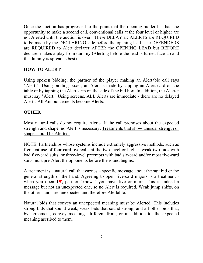Once the auction has progressed to the point that the opening bidder has had the opportunity to make a second call, conventional calls at the four level or higher are not Alerted until the auction is over. These DELAYED ALERTS are REQUIRED to be made by the DECLARING side before the opening lead. The DEFENDERS are REQUIRED to Alert declarer AFTER the OPENING LEAD but BEFORE declarer makes a play from dummy (Alerting before the lead is turned face-up and the dummy is spread is best).

# **HOW TO ALERT**

Using spoken bidding, the partner of the player making an Alertable call says "Alert." Using bidding boxes, an Alert is made by tapping an Alert card on the table or by tapping the Alert strip on the side of the bid box. In addition, the Alerter must say "Alert." Using screens, ALL Alerts are immediate - there are no delayed Alerts. All Announcements become Alerts.

# **OTHER**

Most natural calls do not require Alerts. If the call promises about the expected strength and shape, no Alert is necessary. Treatments that show unusual strength or shape should be Alerted.

NOTE: Partnerships whose systems include extremely aggressive methods, such as frequent use of four-card overcalls at the two level or higher, weak two-bids with bad five-card suits, or three-level preempts with bad six-card and/or most five-card suits must pre-Alert the opponents before the round begins.

A treatment is a natural call that carries a specific message about the suit bid or the general strength of the hand. Agreeing to open five-card majors is a treatment when you open  $1\blacktriangledown$ , partner "knows" you have five or more. This is indeed a message but not an unexpected one, so no Alert is required. Weak jump shifts, on the other hand, are unexpected and therefore Alertable.

Natural bids that convey an unexpected meaning must be Alerted. This includes strong bids that sound weak, weak bids that sound strong, and all other bids that, by agreement, convey meanings different from, or in addition to, the expected meaning ascribed to them.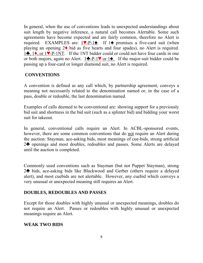In general, when the use of conventions leads to unexpected understandings about suit length by negative inference, a natural call becomes Alertable. Some such agreements have become expected and are fairly common, therefore no Alert is required. EXAMPLES are:  $1 \vee P-1 \triangle$ . If 1 $\triangle$  promises a five-card suit (when playing an opening  $2\blacklozenge$  bid as five hearts and four spades), no Alert is required. 1<sup> $\bullet$ </sup>, 1<sup> $\bullet$ </sup>, or 1<sup> $\bullet$ </sup>-P-1NT. If the 1NT bidder could or could not have four cards in one or both majors, again no Alert.  $1\clubsuit$ -P-1 $\blacktriangledown$  or 1 $\spadesuit$ . If the major-suit bidder could be passing up a four-card or longer diamond suit, no Alert is required.

# **CONVENTIONS**

A convention is defined as any call which, by partnership agreement, conveys a meaning not necessarily related to the denomination named or, in the case of a pass, double or redouble, the last denomination named.

Examples of calls deemed to be conventional are: showing support for a previously bid suit and shortness in the bid suit (such as a splinter bid) and bidding your worst suit for takeout.

In general, conventional calls require an Alert. In ACBL-sponsored events, however, there are some common conventions that do not require an Alert during the auction: Stayman, ace-asking bids, most meanings of cue-bids, strong artificial 2<sup>h</sup> openings and most doubles, redoubles and passes. Some Alerts are delayed until the auction is completed.

Commonly used conventions such as Stayman (but not Puppet Stayman), strong 2<sup>h</sup> bids, ace-asking bids like Blackwood and Gerber (others require a delayed alert), and most cuebids are not alertable. However, any cuebid which conveys a very unusual or unexpected meaning still requires an Alert.

# **DOUBLES, REDOUBLES AND PASSES**

Except for those doubles with highly unusual or unexpected meanings, doubles do not require an Alert. Passes or redoubles with highly unusual or unexpected meanings require an Alert.

# **WEAK TWO BIDS**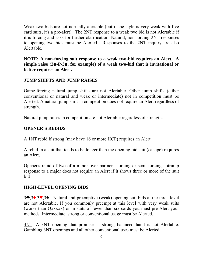Weak two bids are not normally alertable (but if the style is very weak with five card suits, it's a pre-alert). The 2NT response to a weak two bid is not Alertable if it is forcing and asks for further clarification. Natural, non-forcing 2NT responses to opening two bids must be Alerted. Responses to the 2NT inquiry are also Alertable.

**NOTE: A non-forcing suit response to a weak two-bid requires an Alert. A simple raise (24-P-34, for example) of a weak two-bid that is invitational or better requires an Alert.** 

# **JUMP SHIFTS AND JUMP RAISES**

Game-forcing natural jump shifts are not Alertable. Other jump shifts (either conventional or natural and weak or intermediate) not in competition must be Alerted. A natural jump shift in competition does not require an Alert regardless of strength.

Natural jump raises in competition are not Alertable regardless of strength.

# **OPENER'S REBIDS**

A 1NT rebid if strong (may have 16 or more HCP) requires an Alert.

A rebid in a suit that tends to be longer than the opening bid suit (canapé) requires an Alert.

Opener's rebid of two of a minor over partner's forcing or semi-forcing notrump response to a major does not require an Alert if it shows three or more of the suit bid

# **HIGH-LEVEL OPENING BIDS**

 $3\clubsuit,3\spadesuit,3\spadesuit,3\spadesuit$ . Natural and preemptive (weak) opening suit bids at the three level are not Alertable. If you commonly preempt at this level with very weak suits (worse than Qxxxxx) or in suits of fewer than six cards you must pre-Alert your methods. Intermediate, strong or conventional usage must be Alerted.

3NT: A 3NT opening that promises a strong, balanced hand is not Alertable. Gambling 3NT openings and all other conventional uses must be Alerted.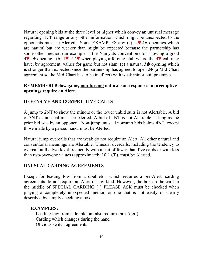Natural opening bids at the three level or higher which convey an unusual message regarding HCP range or any other information which might be unexpected to the opponents must be Alerted. Some EXAMPLES are: (a)  $4\blacktriangledown,4\blacktriangle$  openings which are natural but are weaker than might be expected because the partnership has some other method (an example is the Namyats convention) for showing a good  $4\blacktriangledown$ ,4<sup> $\blacktriangledown$ </sup> opening, (b) 1 $\blacktriangledown$ -P-4 $\blacktriangledown$  when playing a forcing club where the 4 $\blacktriangledown$  call may have, by agreement, values for game but not slam, (c) a natural  $3\clubsuit$  opening which is stronger than expected since the partnership has agreed to open  $2\spadesuit$  (a Mid-Chart agreement so the Mid-Chart has to be in effect) with weak minor-suit preempts.

## **REMEMBER! Below game, non-forcing natural suit responses to preemptive openings require an Alert.**

# **DEFENSIVE AND COMPETITIVE CALLS**

A jump to 2NT to show the minors or the lower unbid suits is not Alertable. A bid of 3NT as unusual must be Alerted. A bid of 4NT is not Alertable as long as the prior bid was by an opponent. Non-jump unusual notrump bids below 4NT, except those made by a passed hand, must be Alerted.

Natural jump overcalls that are weak do not require an Alert. All other natural and conventional meanings are Alertable. Unusual overcalls, including the tendency to overcall at the two level frequently with a suit of fewer than five cards or with less than two-over-one values (approximately 10 HCP), must be Alerted.

## **UNUSUAL CARDING AGREEMENTS**

Except for leading low from a doubleton which requires a pre-Alert, carding agreements do not require an Alert of any kind. However, the box on the card in the middle of SPECIAL CARDING [ ] PLEASE ASK must be checked when playing a completely unexpected method or one that is not easily or clearly described by simply checking a box.

## **EXAMPLES:**

 Leading low from a doubleton (also requires pre-Alert) Carding which changes during the hand Obvious switch agreements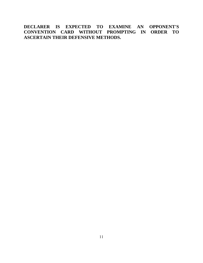**DECLARER IS EXPECTED TO EXAMINE AN OPPONENT'S CONVENTION CARD WITHOUT PROMPTING IN ORDER TO ASCERTAIN THEIR DEFENSIVE METHODS.**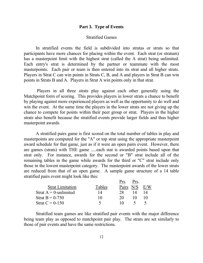#### **Part 3. Type of Events**

## Stratified Games

 In stratified events the field is subdivided into stratas or strats so that participants have more chances for placing within the event. Each strat (or stratum) has a masterpoint limit with the highest strat (called the A strat) being unlimited. Each entry's strat is determined by the partner or teammate with the most masterpoints. Each pair or team is then entered into its strat and all higher strats. Players in Strat C can win points in Strats C, B, and A and players in Strat B can win points in Strats B and A. Players in Strat A win points only in that strat.

 Players in all three strats play against each other generally using the Matchpoint form of scoring. This provides players in lower strats a chance to benefit by playing against more experienced players as well as the opportunity to do well and win the event. At the same time the players in the lower strats are not giving up the chance to compete for points within their peer group or strat. Players in the higher strats also benefit because the stratified events provide larger fields and thus higher masterpoint awards.

 A stratified pairs game is first scored on the total number of tables in play and masterpoints are computed for the "A" or top strat using the appropriate masterpoint award schedule for that game, just as if it were an open pairs event. However, there are games (strats) with THE game .....each stat is awarded points based upon that strat only. For instance, awards for the second or "B" strat include all of the remaining tables in the game while awards for the third or "C" strat include only those in the lowest masterpoint category. The masterpoint awards of the lower strats are reduced from that of an open game. A sample game structure of a 14 table stratified pairs event might look like this:

|                          |        | Prs.         | Prs. |    |
|--------------------------|--------|--------------|------|----|
| <b>Strat Limitation</b>  | Tables | <b>Pairs</b> | N/S  |    |
| Strat $A = 0$ -unlimited | 14     | 28.          |      | 14 |
| Strat $B = 0-750$        | 10     | 20           |      |    |
| Strat $C = 0-150$        | ↖      | 10           |      |    |

 Stratified team games are like stratified pair events with the major difference being team play as opposed to matchpoint pair play. The strats are set similarly to those of pair events and have the same restrictions.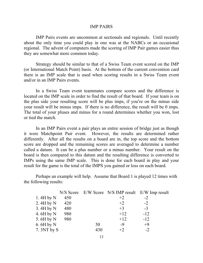#### IMP PAIRS

IMP Pairs events are uncommon at sectionals and regionals. Until recently about the only time you could play in one was at the NABCs or an occasional regional. The advent of computers made the scoring of IMP Pair games easier thus they are somewhat more common today.

Strategy should be similar to that of a Swiss Team event scored on the IMP (or International Match Point) basis. At the bottom of the current convention card there is an IMP scale that is used when scoring results in a Swiss Team event and/or in an IMP Pairs events.

In a Swiss Team event teammates compare scores and the difference is located on the IMP scale in order to find the result of that board. If your team is on the plus side your resulting score will be plus imps, if you're on the minus side your result will be minus imps. If there is no difference, the result will be 0 imps. The total of your pluses and minus for a round determines whether you won, lost or tied the match.

In an IMP Pairs event a pair plays an entire session of bridge just as though it were Matchpoint Pair event. However, the results are determined rather differently. After all the results on a board are in, the top score and the bottom score are dropped and the remaining scores are averaged to determine a number called a datum. It can be a plus number or a minus number. Your result on the board is then compared to this datum and the resulting difference is converted to IMPs using the same IMP scale. This is done for each board in play and your result for the game is the total of the IMPS you gained or loss on each board.

Perhaps an example will help. Assume that Board 1 is played 12 times with the following results:

|             |     |     |       | N/S Score E/W Score N/S IMP result E/W Imp result |
|-------------|-----|-----|-------|---------------------------------------------------|
| 1.4H by $N$ | 450 |     | $+2$  | $-2$                                              |
| 2.4H by N   | 420 |     | $+2$  | $-2$                                              |
| 3.4H by N   | 480 |     | $+3$  | $-3$                                              |
| 4.6H by N   | 980 |     | $+12$ | $-12$                                             |
| 5.6H by N   | 980 |     | $+12$ | $-12$                                             |
| 6.6H by N   |     | 50  | $-9$  | $+9$                                              |
| 7. 3NT by S |     | 430 | $+2$  | $-2$                                              |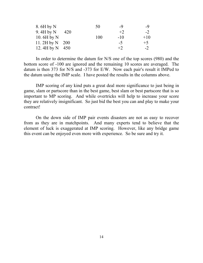| 8. 6H by N          | 50  | -9    | -9    |
|---------------------|-----|-------|-------|
| 9.4H by $N$<br>420  |     | $+2$  | $-2$  |
| 10.6H by $N$        | 100 | $-10$ | $+10$ |
| 11.2H by $N$ 200    |     | $-5$  | $+5$  |
| 12. $4H$ by N $450$ |     | $+2$  | $-2$  |

In order to determine the datum for N/S one of the top scores (980) and the bottom score of -100 are ignored and the remaining 10 scores are averaged. The datum is then  $373$  for N/S and  $-373$  for E/W. Now each pair's result it IMPed to the datum using the IMP scale. I have posted the results in the columns above.

IMP scoring of any kind puts a great deal more significance to just being in game, slam or partscore than in the best game, best slam or best partscore that is so important to MP scoring. And while overtricks will help to increase your score they are relatively insignificant. So just bid the best you can and play to make your contract!

On the down side of IMP pair events disasters are not as easy to recover from as they are in matchpoints. And many experts tend to believe that the element of luck is exaggerated at IMP scoring. However, like any bridge game this event can be enjoyed even more with experience. So be sure and try it.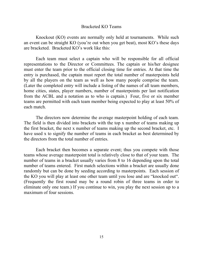## Bracketed KO Teams

Knockout (KO) events are normally only held at tournaments. While such an event can be straight KO (you're out when you get beat), most KO's these days are bracketed. Bracketed KO's work like this:

Each team must select a captain who will be responsible for all official representations to the Director or Committees. The captain or his/her designee must enter the team prior to the official closing time for entries. At that time the entry is purchased, the captain must report the total number of masterpoints held by all the players on the team as well as how many people comprise the team. (Later the completed entry will include a listing of the names of all team members, home cities, states, player numbers, number of masterpoints per last notification from the ACBL and a notation as to who is captain.) Four, five or six member teams are permitted with each team member being expected to play at least 50% of each match.

The directors now determine the average masterpoint holding of each team. The field is then divided into brackets with the top x number of teams making up the first bracket, the next x number of teams making up the second bracket, etc. I have used x to signify the number of teams in each bracket as best determined by the directors from the total number of entries.

Each bracket then becomes a separate event; thus you compete with those teams whose average masterpoint total is relatively close to that of your team. The number of teams in a bracket usually varies from 8 to 16 depending upon the total number of teams entered. First match selections within a bracket are usually done randomly but can be done by seeding according to masterpoints. Each session of the KO you will play at least one other team until you lose and are "knocked out". (Frequently the first round may be a round robin of three teams in order to eliminate only one team.) If you continue to win, you play the next session up to a maximum of four sessions.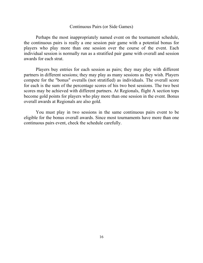#### Continuous Pairs (or Side Games)

 Perhaps the most inappropriately named event on the tournament schedule, the continuous pairs is really a one session pair game with a potential bonus for players who play more than one session over the course of the event. Each individual session is normally run as a stratified pair game with overall and session awards for each strat.

 Players buy entries for each session as pairs; they may play with different partners in different sessions; they may play as many sessions as they wish. Players compete for the "bonus" overalls (not stratified) as individuals. The overall score for each is the sum of the percentage scores of his two best sessions. The two best scores may be achieved with different partners. At Regionals, flight A section tops become gold points for players who play more than one session in the event. Bonus overall awards at Regionals are also gold.

 You must play in two sessions in the same continuous pairs event to be eligible for the bonus overall awards. Since most tournaments have more than one continuous pairs event, check the schedule carefully.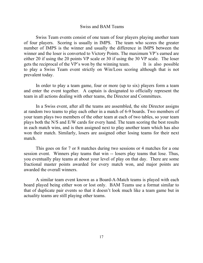#### Swiss and BAM Teams

 Swiss Team events consist of one team of four players playing another team of four players. Scoring is usually in IMPS. The team who scores the greater number of IMPS is the winner and usually the difference in IMPS between the winner and the loser is converted to Victory Points. The maximum VP's earned are either 20 if using the 20 points VP scale or 30 if using the 30 VP scale. The loser gets the reciprocal of the VP's won by the winning team. It is also possible to play a Swiss Team event strictly on Win/Loss scoring although that is not prevalent today.

 In order to play a team game, four or more (up to six) players form a team and enter the event together. A captain is designated to officially represent the team in all actions dealing with other teams, the Director and Committees.

In a Swiss event, after all the teams are assembled, the site Director assigns at random two teams to play each other in a match of 6-9 boards. Two members of your team plays two members of the other team at each of two tables, so your team plays both the N/S and E/W cards for every hand. The team scoring the best results in each match wins, and is then assigned next to play another team which has also won their match. Similarly, losers are assigned other losing teams for their next match.

 This goes on for 7 or 8 matches during two sessions or 4 matches for a one session event. Winners play teams that win -- losers play teams that lose. Thus, you eventually play teams at about your level of play on that day. There are some fractional master points awarded for every match won, and major points are awarded the overall winners.

 A similar team event known as a Board-A-Match teams is played with each board played being either won or lost only. BAM Teams use a format similar to that of duplicate pair events so that it doesn't look much like a team game but in actuality teams are still playing other teams.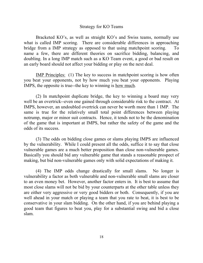## Strategy for KO Teams

Bracketed KO's, as well as straight KO's and Swiss teams, normally use what is called IMP scoring. There are considerable differences in approaching bridge from a IMP strategy as opposed to that using matchpoint scoring. To name a few, there are different theories on sacrifice bidding, balancing, and doubling. In a long IMP match such as a KO Team event, a good or bad result on an early board should not affect your bidding or play on the next deal.

IMP Principles: (1) The key to success in matchpoint scoring is how often you beat your opponents, not by how much you beat your opponents. Playing IMPS, the opposite is true--the key to winning is how much.

(2) In matchpoint duplicate bridge, the key to winning a board may very well be an overtrick--even one gained through considerable risk to the contract. At IMPS, however, an undoubled overtrick can never be worth more than 1 IMP. The same is true for the relatively small total point differences between playing notrump, major or minor suit contracts. Hence, it tends not to be the denomination of the game that is important at IMPS, but rather the safety of the game and the odds of its success.

(3) The odds on bidding close games or slams playing IMPS are influenced by the vulnerability. While I could present all the odds, suffice it to say that close vulnerable games are a much better proposition than close non-vulnerable games. Basically you should bid any vulnerable game that stands a reasonable prospect of making, but bid non-vulnerable games only with solid expectations of making it.

(4) The IMP odds change drastically for small slams. No longer is vulnerability a factor as both vulnerable and non-vulnerable small slams are closer to an even money bet. However, another factor enters in. It is best to assume that most close slams will not be bid by your counterparts at the other table unless they are either very aggressive or very good bidders or both. Consequently, if you are well ahead in your match or playing a team that you rate to beat, it is best to be conservative in your slam bidding. On the other hand, if you are behind playing a good team that figures to beat you, play for a substantial swing and bid a close slam.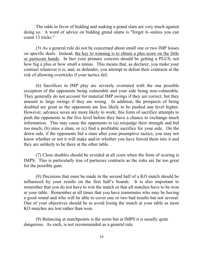The odds in favor of bidding and making a grand slam are very much against doing so. A word of advice on bidding grand slams is "forget it--unless you can count 13 tricks."

(5) As a general rule do not be concerned about small one or two IMP losses on specific deals. Instead, the key to winning is to obtain a plus score on the little or partscore hands. In fact your primary concern should be getting a PLUS, not how big a plus or how small a minus. This means that, as declarer, you make your contract whatever it is, and, as defender, you attempt to defeat their contracts at the risk of allowing overtricks if your tactics fail.

(6) Sacrifices in IMP play are severely overrated with the one possible exception of the opponents being vulnerable and your side being non-vulnerable. They generally do not account for material IMP swings if they are correct, but they amount to large swings if they are wrong. In addition, the prospects of being doubled are great as the opponents are less likely to be pushed one level higher. However, advance saves are more likely to work; this form of sacrifice attempts to push the opponents to the five level before they have a chance to exchange much information. This may cause the opponents to (a) misjudge their strength and bid too much, (b) miss a slam, or (c) find a profitable sacrifice for your side. On the down side, if the opponents bid a slam after your preemptive tactics, you may not know whether or not it will make and/or whether you have forced them into it and they are unlikely to be there at the other table.

(7) Close doubles should be avoided at all costs when the form of scoring is IMPS. This is particularly true of partscore contracts as the risks are far too great for the possible gain.

(8) Decisions that must be made in the second half of a KO match should be influenced by your results on the first half's boards. It is also important to remember that you do not have to win the match or that all matches have to be won at your table. Remember at all times that you have teammates who may be having a good round and who will be able to cover one or two bad results but not several. One of your objectives should be to avoid losing the match at your table as most KO matches are lost rather than won.

(9) Balancing at matchpoints is the norm but at IMPS it is usually quite dangerous. As such, is not recommended as a general rule.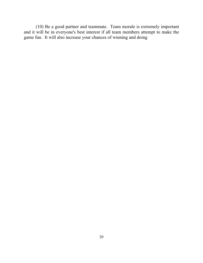(10) Be a good partner and teammate. Team morale is extremely important and it will be in everyone's best interest if all team members attempt to make the game fun. It will also increase your chances of winning and doing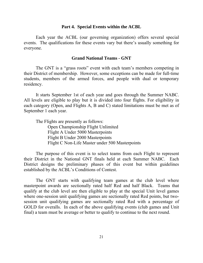#### **Part 4. Special Events within the ACBL**

 Each year the ACBL (our governing organization) offers several special events. The qualifications for these events vary but there's usually something for everyone.

## **Grand National Teams - GNT**

The GNT is a "grass roots" event with each team's members competing in their District of membership. However, some exceptions can be made for full-time students, members of the armed forces, and people with dual or temporary residency.

It starts September 1st of each year and goes through the Summer NABC. All levels are eligible to play but it is divided into four flights. For eligibility in each category (Open, and Flights A, B and C) stated limitations must be met as of September 1 each year.

The Flights are presently as follows: Open Championship Flight Unlimited Flight A Under 5000 Masterpoints Flight B Under 2000 Masterpoints Flight C Non-Life Master under 500 Masterpoints

 The purpose of this event is to select teams from each Flight to represent their District in the National GNT finals held at each Summer NABC. Each District designs the preliminary phases of this event but within guidelines established by the ACBL's Conditions of Contest.

The GNT starts with qualifying team games at the club level where masterpoint awards are sectionally rated half Red and half Black. Teams that qualify at the club level are then eligible to play at the special Unit level games where one-session unit qualifying games are sectionally rated Red points, but twosession unit qualifying games are sectionally rated Red with a percentage of GOLD for overalls. In each of the above qualifying events (club games and Unit final) a team must be average or better to qualify to continue to the next round.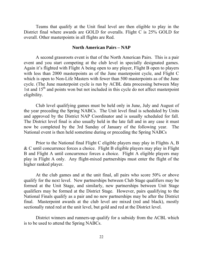Teams that qualify at the Unit final level are then eligible to play in the District final where awards are GOLD for overalls. Flight C is 25% GOLD for overall. Other masterpoints in all flights are Red.

#### **North American Pairs – NAP**

 A second grassroots event is that of the North American Pairs. This is a pair event and you start competing at the club level in specially designated games. Again it's flighted with Flight A being open to any player, Flight B open to players with less than 2000 masterpoints as of the June masterpoint cycle, and Flight C which is open to Non-Life Masters with fewer than 500 masterpoints as of the June cycle. (The June masterpoint cycle is run by ACBL data processing between May 1st and  $15<sup>th</sup>$  and points won but not included in this cycle do not affect masterpoint eligibility.

 Club level qualifying games must be held only in June, July and August of the year preceding the Spring NABCs. The Unit level final is scheduled by Units and approved by the District NAP Coordinator and is usually scheduled for fall. The District level final is also usually held in the late fall and in any case it must now be completed by the 3rd Sunday of January of the following year. The National event is then held sometime during or preceding the Spring NABCs

 Prior to the National final Flight C eligible players may play in Flights A, B & C until concurrence forces a choice. Flight B eligible players may play in Flight B and Flight A until concurrence forces a choice. Flight A eligible players may play in Flight A only. Any flight-mixed partnerships must enter the flight of the higher ranked player.

 At the club games and at the unit final, all pairs who score 50% or above qualify for the next level. New partnerships between Club Stage qualifiers may be formed at the Unit Stage, and similarly, new partnerships between Unit Stage qualifiers may be formed at the District Stage. However, pairs qualifying to the National Finals qualify as a pair and no new partnerships may be after the District final. Masterpoint awards at the club level are mixed (red and black), mostly sectionally rated red at the unit level, but gold and red at the District level.

 District winners and runners-up qualify for a subsidy from the ACBL which is to be used to attend the Spring NABCs.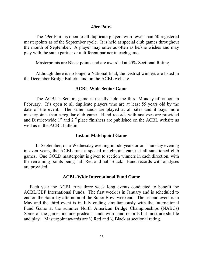#### **49er Pairs**

The 49er Pairs is open to all duplicate players with fewer than 50 registered masterpoints as of the September cycle. It is held at special club games throughout the month of September. A player may enter as often as he/she wishes and may play with the same partner or a different partner in each game.

Masterpoints are Black points and are awarded at 45% Sectional Rating.

Although there is no longer a National final, the District winners are listed in the December Bridge Bulletin and on the ACBL website.

#### **ACBL-Wide Senior Game**

 The ACBL's Seniors game is usually held the third Monday afternoon in February. It's open to all duplicate players who are at least 55 years old by the date of the event. The same hands are played at all sites and it pays more masterpoints than a regular club game. Hand records with analyses are provided and District-wide  $1<sup>st</sup>$  and  $2<sup>nd</sup>$  place finishers are published on the ACBL website as well as in the ACBL bulletin.

#### **Instant Matchpoint Game**

In September, on a Wednesday evening in odd years or on Thursday evening in even years, the ACBL runs a special matchpoint game at all sanctioned club games. One GOLD masterpoint is given to section winners in each direction, with the remaining points being half Red and half Black. Hand records with analyses are provided.

#### **ACBL-Wide International Fund Game**

Each year the ACBL runs three week long events conducted to benefit the ACBL/CBF International Funds. The first week is in January and is scheduled to end on the Saturday afternoon of the Super Bowl weekend. The second event is in May and the third event is in July ending simultaneously with the International Fund Game at the summer North American Bridge Championships (NABCs) Some of the games include predealt hands with hand records but most are shuffle and play. Masterpoint awards are  $\frac{1}{2}$  Red and  $\frac{1}{2}$  Black at sectional rating.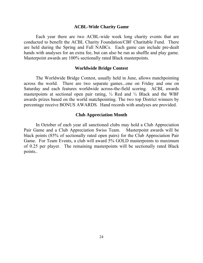#### **ACBL-Wide Charity Game**

Each year there are two ACBL-wide week long charity events that are conducted to benefit the ACBL Charity Foundation/CBF Charitable Fund. There are held during the Spring and Fall NABCs. Each game can include pre-dealt hands with analyses for an extra fee, but can also be run as shuffle and play game. Masterpoint awards are 100% sectionally rated Black masterpoints.

## **Worldwide Bridge Contest**

The Worldwide Bridge Contest, usually held in June, allows matchpointing across the world. There are two separate games...one on Friday and one on Saturday and each features worldwide across-the-field scoring. ACBL awards masterpoints at sectional open pair rating,  $\frac{1}{2}$  Red and  $\frac{1}{2}$  Black and the WBF awards prizes based on the world matchpointing. The two top District winners by percentage receive BONUS AWARDS. Hand records with analyses are provided.

#### **Club Appreciation Month**

In October of each year all sanctioned clubs may hold a Club Appreciation Pair Game and a Club Appreciation Swiss Team. Masterpoint awards will be black points (85% of sectionally rated open pairs) for the Club Appreciation Pair Game. For Team Events, a club will award 5% GOLD masterpoints to maximum of 0.25 per player. The remaining masterpoints will be sectionally rated Black points..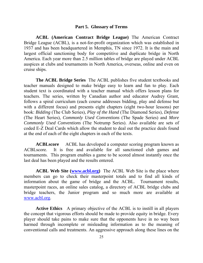#### **Part 5. Glossary of Terms**

**ACBL (American Contract Bridge League)** The American Contract Bridge League (ACBL), is a not-for-profit organization which was established in 1937 and has been headquartered in Memphis, TN since 1972. It is the main and largest official sanctioning body for competitive and duplicate bridge in North America. Each year more than 2.5 million tables of bridge are played under ACBL auspices at clubs and tournaments in North America, overseas, online and even on cruise ships.

 **The ACBL Bridge Series** The ACBL publishes five student textbooks and teacher manuals designed to make bridge easy to learn and fun to play. Each student text is coordinated with a teacher manual which offers lesson plans for teachers. The series, written by Canadian author and educator Audrey Grant, follows a spiral curriculum (each course addresses bidding, play and defense but with a different focus) and presents eight chapters (eight two-hour lessons) per book: *Bidding* (The Club Series), *Play of the Hand* (The Diamond Series), *Defense*  (The Heart Series), *Commonly Used Conventions* (The Spade Series) and *More Commonly Used Conventions* (The Notrump Series). Also available are sets of coded E-Z Deal Cards which allow the student to deal out the practice deals found at the end of each of the eight chapters in each of the texts.

**ACBLscore** ACBL has developed a computer scoring program known as ACBLscore. It is free and available for all sanctioned club games and tournaments. This program enables a game to be scored almost instantly once the last deal has been played and the results entered.

 **ACBL Web Site ([www.acbl.org\)](http://www.acbl.org/)** The ACBL Web Site is the place where members can go to check their masterpoint totals and to find all kinds of information about the game of bridge and the ACBL. Tournament results, masterpoint races, an online sales catalog, a directory of ACBL bridge clubs and bridge teachers, the Junior program and so much more are available at [www.acbl.org](http://www.acbl.org/).

 **Active Ethics** A primary objective of the ACBL is to instill in all players the concept that vigorous efforts should be made to provide equity in bridge. Every player should take pains to make sure that the opponents have in no way been harmed through incomplete or misleading information as to the meaning of conventional calls and treatments. An aggressive approach along these lines on the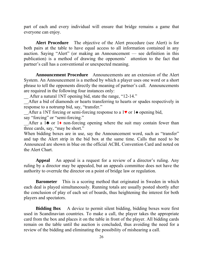part of each and every individual will ensure that bridge remains a game that everyone can enjoy.

 **Alert Procedure** The objective of the Alert procedure (see Alert) is for both pairs at the table to have equal access to all information contained in any auction. Saying "Alert" (or making an Announcement — see definition in this publication) is a method of drawing the opponents' attention to the fact that partner's call has a conventional or unexpected meaning.

 **Announcement Procedure** Announcements are an extension of the Alert System. An Announcement is a method by which a player uses one word or a short phrase to tell the opponents directly the meaning of partner's call. Announcements are required in the following four instances only:

After a natural 1NT opening bid, state the range, "12-14."

\_\_After a bid of diamonds or hearts transferring to hearts or spades respectively in response to a notrump bid, say, "transfer."

After a 1NT forcing or semi-forcing response to a 1♥ or 1♠ opening bid, say "forcing" or "semi-forcing."

After a  $1\blacktriangle$  or  $1\blacktriangle$  non-forcing opening where the suit may contain fewer than three cards, say, "may be short."

When bidding boxes are in use, say the Announcement word, such as "transfer" and tap the Alert strip in the bid box at the same time. Calls that need to be Announced are shown in blue on the official ACBL Convention Card and noted on the Alert Chart.

 **Appeal** An appeal is a request for a review of a director's ruling. Any ruling by a director may be appealed, but an appeals committee does not have the authority to overrule the director on a point of bridge law or regulation.

**Barometer** This is a scoring method that originated in Sweden in which each deal is played simultaneously. Running totals are usually posted shortly after the conclusion of play of each set of boards, thus heightening the interest for both players and spectators.

**Bidding Box** A device to permit silent bidding, bidding boxes were first used in Scandinavian countries. To make a call, the player takes the appropriate card from the box and places it on the table in front of the player. All bidding cards remain on the table until the auction is concluded, thus avoiding the need for a review of the bidding and eliminating the possibility of mishearing a call.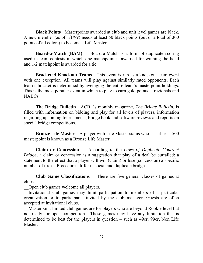**Black Points** Masterpoints awarded at club and unit level games are black. A new member (as of 1/1/99) needs at least 50 black points (out of a total of 300 points of all colors) to become a Life Master.

**Board-a-Match (BAM)** Board-a-Match is a form of duplicate scoring used in team contests in which one matchpoint is awarded for winning the hand and 1/2 matchpoint is awarded for a tie.

 **Bracketed Knockout Teams** This event is run as a knockout team event with one exception. All teams will play against similarly rated opponents. Each team's bracket is determined by averaging the entire team's masterpoint holdings. This is the most popular event in which to play to earn gold points at regionals and NABCs.

 **The Bridge Bulletin** ACBL's monthly magazine, *The Bridge Bulletin*, is filled with information on bidding and play for all levels of players, information regarding upcoming tournaments, bridge book and software reviews and reports on special bridge competitions.

**Bronze Life Master** A player with Life Master status who has at least 500 masterpoint is known as a Bronze Life Master.

 **Claim or Concession** According to the *Laws of Duplicate Contract Bridge*, a claim or concession is a suggestion that play of a deal be curtailed; a statement to the effect that a player will win (claim) or lose (concession) a specific number of tricks. Procedures differ in social and duplicate bridge.

 **Club Game Classifications** There are five general classes of games at clubs.

\_\_Open club games welcome all players.

Invitational club games may limit participation to members of a particular organization or to participants invited by the club manager. Guests are often accepted at invitational clubs.

\_\_Masterpoint limited club games are for players who are beyond Rookie level but not ready for open competition. These games may have any limitation that is determined to be best for the players in question – such as 49er, 99er, Non Life Master.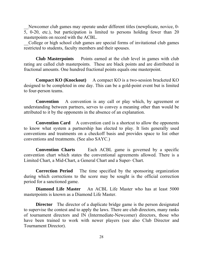Newcomer club games may operate under different titles (newplicate, novice, 0-5, 0-20, etc.), but participation is limited to persons holding fewer than 20 masterpoints on record with the ACBL.

\_\_College or high school club games are special forms of invitational club games restricted to students, faculty members and their spouses.

 **Club Masterpoints** Points earned at the club level in games with club rating are called club masterpoints. These are black points and are distributed in fractional amounts. One hundred fractional points equals one masterpoint.

**Compact KO (Knockout)** A compact KO is a two-session bracketed KO designed to be completed in one day. This can be a gold-point event but is limited to four-person teams.

 **Convention** A convention is any call or play which, by agreement or understanding between partners, serves to convey a meaning other than would be attributed to it by the opponents in the absence of an explanation.

**Convention Card** A convention card is a shortcut to allow the opponents to know what system a partnership has elected to play. It lists generally used conventions and treatments on a checkoff basis and provides space to list other conventions and treatments. (See also SAYC.)

**Convention Charts** Each ACBL game is governed by a specific convention chart which states the conventional agreements allowed. There is a Limited Chart, a Mid-Chart, a General Chart and a Super- Chart.

 **Correction Period** The time specified by the sponsoring organization during which corrections to the score may be sought is the official correction period for a sanctioned game.

**Diamond Life Master** An ACBL Life Master who has at least 5000 masterpoints is known as a Diamond Life Master.

**Director** The director of a duplicate bridge game is the person designated to supervise the contest and to apply the laws. There are club directors, many ranks of tournament directors and IN (Intermediate-Newcomer) directors, those who have been trained to work with newer players (see also Club Director and Tournament Director).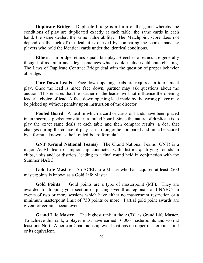**Duplicate Bridge** Duplicate bridge is a form of the game whereby the conditions of play are duplicated exactly at each table: the same cards in each hand, the same dealer, the same vulnerability. The Matchpoint score does not depend on the luck of the deal; it is derived by comparing the scores made by players who hold the identical cards under the identical conditions.

 **Ethics** In bridge, ethics equals fair play. Breeches of ethics are generally thought of as unfair and illegal practices which could include deliberate cheating. The Laws of Duplicate Contract Bridge deal with the question of proper behavior at bridge**.** 

 **Face-Down Leads** Face-down opening leads are required in tournament play. Once the lead is made face down, partner may ask questions about the auction. This ensures that the partner of the leader will not influence the opening leader's choice of lead. A face-down opening lead made by the wrong player may be picked up without penalty upon instruction of the director.

 **Fouled Board** A deal in which a card or cards or hands have been placed in an incorrect pocket constitutes a fouled board. Since the nature of duplicate is to play the exact same deals at each table and then compare results, a deal that changes during the course of play can no longer be compared and must be scored by a formula known as the "fouled-board formula."

 **GNT (Grand National Teams**) The Grand National Teams (GNT) is a major ACBL team championship conducted with district qualifying rounds in clubs, units and/ or districts, leading to a final round held in conjunction with the Summer NABC.

 **Gold Life Master** An ACBL Life Master who has acquired at least 2500 masterpoints is known as a Gold Life Master.

 **Gold Points** Gold points are a type of masterpoint (MP). They are awarded for topping your section or placing overall at regionals and NABCs in events of two or more sessions which have either no masterpoint restriction or a minimum masterpoint limit of 750 points or more. Partial gold point awards are given for certain special events.

 **Grand Life Master** The highest rank in the ACBL is Grand Life Master. To achieve this rank, a player must have earned 10,000 masterpoints and won at least one North American Championship event that has no upper masterpoint limit or its equivalent.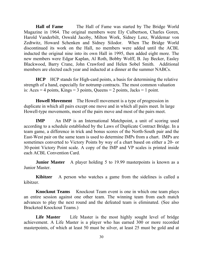**Hall of Fame** The Hall of Fame was started by The Bridge World Magazine in 1964. The original members were Ely Culbertson, Charles Goren, Harold Vanderbilt, Oswald Jacoby, Milton Work, Sidney Lenz, Waldemar von Zedtwitz, Howard Schenken and Sidney Silodor. When The Bridge World discontinued its work on the Hall, no members were added until the ACBL inducted the original nine into its own Hall in 1995, then added eight more. The new members were Edgar Kaplan, Al Roth, Bobby Wolff, B. Jay Becker, Easley Blackwood, Barry Crane, John Crawford and Helen Sobel Smith. Additional members are elected each year and inducted at a dinner at the summer NABCs.

 **HCP** HCP stands for High-card points, a basis for determining the relative strength of a hand, especially for notrump contracts. The most common valuation is:  $Aces = 4 points$ ,  $Kings = 3 points$ , Queens = 2 points, Jacks = 1 point.

**Howell Movement** The Howell movement is a type of progression in duplicate in which all pairs except one move and in which all pairs meet. In large Howell-type movements, most of the pairs move and most of the pairs meet.

**IMP** An IMP is an International Matchpoint, a unit of scoring used according to a schedule established by the Laws of Duplicate Contract Bridge. In a team game, a difference in trick and bonus scores of the North-South pair and the East-West pair on the same team is used to determine IMPs from a chart. IMPs are sometimes converted to Victory Points by way of a chart based on either a 20- or 30-point Victory Point scale. A copy of the IMP and VP scales is printed inside each ACBL Convention Card.

**Junior Master** A player holding 5 to 19.99 masterpoints is known as a Junior Master.

**Kibitzer** A person who watches a game from the sidelines is called a kibitzer.

 **Knockout Teams** Knockout Team event is one in which one team plays an entire session against one other team. The winning team from each match advances to play the next round and the defeated team is eliminated. (See also Bracketed Knockout Teams.)

Life Master Life Master is the most highly sought level of bridge achievement. A Life Master is a player who has earned 300 or more recorded masterpoints, of which at least 50 must be silver, at least 25 must be gold and at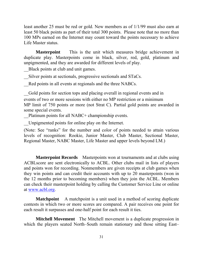least another 25 must be red or gold. New members as of 1/1/99 must also earn at least 50 black points as part of their total 300 points. Please note that no more than 100 MPs earned on the Internet may count toward the points necessary to achieve Life Master status.

 **Masterpoint** This is the unit which measures bridge achievement in duplicate play. Masterpoints come in black, silver, red, gold, platinum and unpigmented, and they are awarded for different levels of play.

\_\_Black points at club and unit games.

\_\_Silver points at sectionals, progressive sectionals and STaCs.

Red points in all events at regionals and the three NABCs.

\_\_Gold points for section tops and placing overall in regional events and in events of two or more sessions with either no MP restriction or a minimum MP limit of 750 points or more (not Strat C). Partial gold points are awarded in some special events.

Platinum points for all NABC+ championship events.

\_\_Unpigmented points for online play on the Internet.

(Note: See "ranks" for the number and color of points needed to attain various levels of recognition: Rookie, Junior Master, Club Master, Sectional Master, Regional Master, NABC Master, Life Master and upper levels beyond LM.)

**Masterpoint Records** Masterpoints won at tournaments and at clubs using ACBLscore are sent electronically to ACBL. Other clubs mail in lists of players and points won for recording. Nonmembers are given receipts at club games when they win points and can credit their accounts with up to 20 masterpoints (won in the 12 months prior to becoming members) when they join the ACBL. Members can check their masterpoint holding by calling the Customer Service Line or online at [www.acbl.org.](http://www.acbl.org/)

**Matchpoint** A matchpoint is a unit used in a method of scoring duplicate contests in which two or more scores are compared. A pair receives one point for each result it surpasses and one-half point for each result it ties.

 **Mitchell Movement** The Mitchell movement is a duplicate progression in which the players seated North–South remain stationary and those sitting East–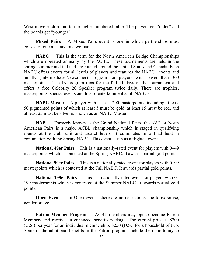West move each round to the higher numbered table. The players get "older" and the boards get "younger."

 **Mixed Pairs** A Mixed Pairs event is one in which partnerships must consist of one man and one woman.

 **NABC** This is the term for the North American Bridge Championships which are operated annually by the ACBL. These tournaments are held in the spring, summer and fall and are rotated around the United States and Canada. Each NABC offers events for all levels of players and features the NABC+ events and an IN (Intermediate-Newcomer) program for players with fewer than 300 masterpoints. The IN program runs for the full 11 days of the tournament and offers a free Celebrity 20 Speaker program twice daily. There are trophies, masterpoints, special events and lots of entertainment at all NABCs.

**NABC Master** A player with at least 200 masterpoints, including at least 50 pigmented points of which at least 5 must be gold, at least 15 must be red, and at least 25 must be silver is known as an NABC Master.

**NAP** Formerly known as the Grand National Pairs, the NAP or North American Pairs is a major ACBL championship which is staged in qualifying rounds at the club, unit and district levels. It culminates in a final held in conjunction with the Spring NABC. This event is run as a flighted event.

 **National 49er Pairs** This is a nationally-rated event for players with 0–49 masterpoints which is contested at the Spring NABC. It awards partial gold points.

**National 99er Pairs** This is a nationally-rated event for players with 0–99 masterpoints which is contested at the Fall NABC. It awards partial gold points.

**National 199er Pairs** This is a nationally-rated event for players with 0– 199 masterpoints which is contested at the Summer NABC. It awards partial gold points.

**Open Event** In Open events, there are no restrictions due to expertise, gender or age.

**Patron Member Program** ACBL members may opt to become Patron Members and receive an enhanced benefits package. The current price is \$200 (U.S.) per year for an individual membership, \$250 (U.S.) for a household of two. Some of the additional benefits in the Patron program include the opportunity to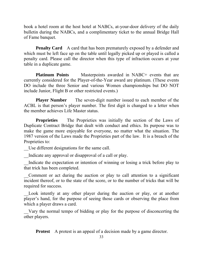book a hotel room at the host hotel at NABCs, at-your-door delivery of the daily bulletin during the NABCs, and a complimentary ticket to the annual Bridge Hall of Fame banquet.

**Penalty Card** A card that has been prematurely exposed by a defender and which must be left face up on the table until legally picked up or played is called a penalty card. Please call the director when this type of infraction occurs at your table in a duplicate game.

**Platinum Points** Masterpoints awarded in NABC+ events that are currently considered for the Player-of-the-Year award are platinum. (These events DO include the three Senior and various Women championships but DO NOT include Junior, Flight B or other restricted events.)

**Player Number** The seven-digit number issued to each member of the ACBL is that person's player number. The first digit is changed to a letter when the member achieves Life Master status.

**Proprieties** The Proprieties was initially the section of the Laws of Duplicate Contract Bridge that dealt with conduct and ethics. Its purpose was to make the game more enjoyable for everyone, no matter what the situation. The 1987 version of the Laws made the Proprieties part of the law. It is a breach of the Proprieties to:

\_\_Use different designations for the same call.

Indicate any approval or disapproval of a call or play.

Indicate the expectation or intention of winning or losing a trick before play to that trick has been completed.

\_\_Comment or act during the auction or play to call attention to a significant incident thereof, or to the state of the score, or to the number of tricks that will be required for success.

Look intently at any other player during the auction or play, or at another player's hand, for the purpose of seeing those cards or observing the place from which a player draws a card.

\_\_Vary the normal tempo of bidding or play for the purpose of disconcerting the other players.

**Protest** A protest is an appeal of a decision made by a game director.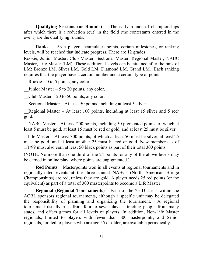**Qualifying Sessions (or Rounds)** The early rounds of championships after which there is a reduction (cut) in the field (the contestants entered in the event) are the qualifying rounds.

 **Ranks** As a player accumulates points, certain milestones, or ranking levels, will be reached that indicate progress. There are 12 grades:

Rookie, Junior Master, Club Master, Sectional Master, Regional Master, NABC Master, Life Master (LM). These additional levels can be attained after the rank of LM: Bronze LM, Silver LM, Gold LM, Diamond LM, Grand LM. Each ranking requires that the player have a certain number and a certain type of points.

Rookie – 0 to 5 points, any color.

Junior Master – 5 to 20 points, any color.

Club Master – 20 to 50 points, any color.

Sectional Master – At least 50 points, including at least 5 silver.

Regional Master – At least 100 points, including at least 15 silver and 5 red/ gold.

NABC Master – At least 200 points, including 50 pigmented points, of which at least 5 must be gold, at least 15 must be red or gold, and at least 25 must be silver.

Life Master – At least 300 points, of which at least 50 must be silver, at least 25 must be gold, and at least another 25 must be red or gold. New members as of 1/1/99 must also earn at least 50 black points as part of their total 300 points.

(NOTE: No more than one-third of the 24 points for any of the above levels may be earned in online play, where points are unpigmented.)

**Red Points** Masterpoints won in all events at regional tournaments and in regionally-rated events at the three annual NABCs (North American Bridge Championships) are red, unless they are gold. A player needs 25 red points (or the equivalent) as part of a total of 300 masterpoints to become a Life Master.

**Regional (Regional Tournaments**) Each of the 25 Districts within the ACBL sponsors regional tournaments, although a specific unit may be delegated the responsibility of planning and organizing the tournament. A regional tournament usually runs from four to seven days, attracting people from many states, and offers games for all levels of players. In addition, Non-Life Master regionals, limited to players with fewer than 300 masterpoints, and Senior regionals, limited to players who are age 55 or older, are available periodically.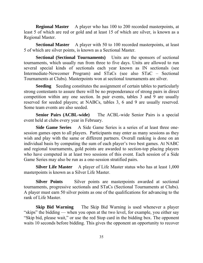**Regional Master** A player who has 100 to 200 recorded masterpoints, at least 5 of which are red or gold and at least 15 of which are silver, is known as a Regional Master.

**Sectional Master** A player with 50 to 100 recorded masterpoints, at least 5 of which are silver points, is known as a Sectional Master.

 **Sectional (Sectional Tournaments)** Units are the sponsors of sectional tournaments, which usually run from three to five days. Units are allowed to run several special kinds of sectionals each year known as IN sectionals (see Intermediate-Newcomer Program) and STaCs (see also STaC – Sectional Tournaments at Clubs). Masterpoints won at sectional tournaments are silver.

**Seeding** Seeding constitutes the assignment of certain tables to particularly strong contestants to assure there will be no preponderance of strong pairs in direct competition within any one section. In pair events, tables 3 and 9 are usually reserved for seeded players; at NABCs, tables 3, 6 and 9 are usually reserved. Some team events are also seeded.

**Senior Pairs (ACBL-wide)** The ACBL-wide Senior Pairs is a special event held at clubs every year in February.

**Side Game Series** A Side Game Series is a series of at least three onesession games open to all players. Participants may enter as many sessions as they wish and play with the same or different partners. Overall ranking is done on an individual basis by computing the sum of each player's two best games. At NABC and regional tournaments, gold points are awarded to section-top placing players who have competed in at least two sessions of this event. Each session of a Side Game Series may also be run as a one-session stratified pairs.

**Silver Life Master** A player of Life Master status who has at least 1,000 masterpoints is known as a Silver Life Master.

**Silver Points** Silver points are masterpoints awarded at sectional tournaments, progressive sectionals and STaCs (Sectional Tournaments at Clubs). A player must earn 50 silver points as one of the qualifications for advancing to the rank of Life Master.

**Skip Bid Warning** The Skip Bid Warning is used whenever a player "skips" the bidding — when you open at the two level, for example, you either say "Skip bid, please wait," or use the red Stop card in the bidding box. The opponent waits 10 seconds before bidding. This gives the opponent an opportunity to recover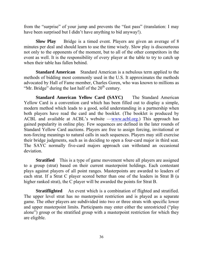from the "surprise" of your jump and prevents the "fast pass" (translation: I may have been surprised but I didn't have anything to bid anyway!).

**Slow Play** Bridge is a timed event. Players are given an average of 8 minutes per deal and should learn to use the time wisely. Slow play is discourteous not only to the opponents of the moment, but to all of the other competitors in the event as well. It is the responsibility of every player at the table to try to catch up when their table has fallen behind.

 **Standard American** Standard American is a nebulous term applied to the methods of bidding most commonly used in the U.S. It approximates the methods advocated by Hall of Fame member, Charles Goren, who was known to millions as "Mr. Bridge" during the last half of the  $20<sup>th</sup>$  century.

 **Standard American Yellow Card (SAYC)** The Standard American Yellow Card is a convention card which has been filled out to display a simple, modern method which leads to a good, solid understanding in a partnership when both players have read the card and the booklet. (The booklet is produced by ACBL and available at ACBL's website —[www.acbl.org.](http://www.acbl.org/)) This approach has gained popularity in online play. Few sequences are defined in the later rounds of Standard Yellow Card auctions. Players are free to assign forcing, invitational or non-forcing meanings to natural calls in such sequences. Players may still exercise their bridge judgments, such as in deciding to open a four-card major in third seat. The SAYC normally five-card majors approach can withstand an occasional deviation.

**Stratified** This is a type of game movement where all players are assigned to a group (strat) based on their current masterpoint holdings. Each contestant plays against players of all point ranges. Masterpoints are awarded to leaders of each strat. If a Strat C player scored better than one of the leaders in Strat B (a higher ranked strat), the C player will be awarded the points for Strat B.

**Stratiflighted** An event which is a combination of flighted and stratified. The upper level strat has no masterpoint restriction and is played as a separate game. The other players are subdivided into two or three strats with specific lower and upper masterpoint limits. Participants may enter either the unrestricted ("play alone") group or the stratified group with a masterpoint restriction for which they are eligible.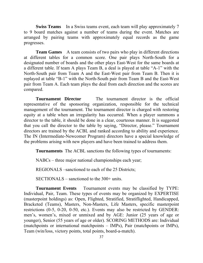**Swiss Teams** In a Swiss teams event, each team will play approximately 7 to 9 board matches against a number of teams during the event. Matches are arranged by pairing teams with approximately equal records as the game progresses.

**Team Games** A team consists of two pairs who play in different directions at different tables for a common score. One pair plays North-South for a designated number of boards and the other plays East-West for the same boards at a different table. If team A plays Team B, a deal is played at table "A-1" with the North-South pair from Team A and the East-West pair from Team B. Then it is replayed at table "B-1" with the North-South pair from Team B and the East-West pair from Team A. Each team plays the deal from each direction and the scores are compared.

**Tournament Director** The tournament director is the official representative of the sponsoring organization, responsible for the technical management of the tournament. The tournament director is charged with restoring equity at a table when an irregularity has occurred. When a player summons a director to the table, it should be done in a clear, courteous manner. It is suggested that you call the director to the table by saying, "Director, please." Tournament directors are trained by the ACBL and ranked according to ability and experience. The IN (Intermediate-Newcomer Program) directors have a special knowledge of the problems arising with new players and have been trained to address them.

 **Tournaments** The ACBL sanctions the following types of tournaments:

NABCs – three major national championships each year;

REGIONALS –sanctioned to each of the 25 Districts;

SECTIONALS – sanctioned to the 300+ units.

 **Tournament Events** Tournament events may be classified by TYPE: Individual, Pair, Team. These types of events may be organized by EXPERTISE (masterpoint holdings) as: Open, Flighted, Stratified, Stratiflighted, Handicapped, Bracketed (Teams), Masters, Non-Masters, Life Masters, specific masterpoint restrictions (0-5, 0-20, 0-50, etc.). Events may also be restricted by GENDER: men's, women's, mixed or unmixed and by AGE: Junior (25 years of age or younger), Senior (55 years of age or older). SCORING METHODS are: Individual (matchpoints or international matchpoints – IMPs), Pair (matchpoints or IMPs), Team (win/loss, victory points, total points, board-a-match).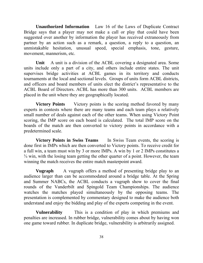**Unauthorized Information** Law 16 of the Laws of Duplicate Contract Bridge says that a player may not make a call or play that could have been suggested over another by information the player has received extraneously from partner by an action such as a remark, a question, a reply to a question, an unmistakable hesitation, unusual speed, special emphasis, tone, gesture, movement, mannerism, etc.

**Unit** A unit is a division of the ACBL covering a designated area. Some units include only a part of a city, and others include entire states. The unit supervises bridge activities at ACBL games in its territory and conducts tournaments at the local and sectional levels. Groups of units form ACBL districts, and officers and board members of units elect the district's representative to the ACBL Board of Directors. ACBL has more than 300 units. ACBL members are placed in the unit where they are geographically located.

**Victory Points** Victory points is the scoring method favored by many experts in contests where there are many teams and each team plays a relatively small number of deals against each of the other teams. When using Victory Point scoring, the IMP score on each board is calculated. The total IMP score on the boards of the match are then converted to victory points in accordance with a predetermined scale.

**Victory Points in Swiss Teams** In Swiss Team events, the scoring is done first in IMPs which are then converted to Victory points. To receive credit for a full win, a team must win by 3 or more IMPs. A win by 1 or 2 IMPs constitutes a  $\frac{3}{4}$  win, with the losing team getting the other quarter of a point. However, the team winning the match receives the entire match masterpoint award.

**Vugraph** A vugraph offers a method of presenting bridge play to an audience larger than can be accommodated around a bridge table. At the Spring and Summer NABCs, the ACBL conducts a vugraph show to cover the final rounds of the Vanderbilt and Spingold Team Championships. The audience watches the matches played simultaneously by the opposing teams. The presentation is complemented by commentary designed to make the audience both understand and enjoy the bidding and play of the experts competing in the event.

 **Vulnerability** This is a condition of play in which premiums and penalties are increased. In rubber bridge, vulnerability comes about by having won one game toward rubber. In duplicate bridge, vulnerability is arbitrarily assigned.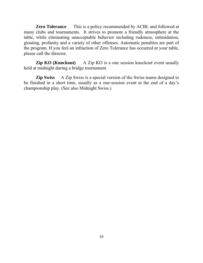**Zero Tolerance** This is a policy recommended by ACBL and followed at many clubs and tournaments. It strives to promote a friendly atmosphere at the table, while eliminating unacceptable behavior including rudeness, intimidation, gloating, profanity and a variety of other offenses. Automatic penalties are part of the program. If you feel an infraction of Zero Tolerance has occurred at your table, please call the director.

**Zip KO (Knockout)** A Zip KO is a one session knockout event usually held at midnight during a bridge tournament.

**Zip Swiss** A Zip Swiss is a special version of the Swiss teams designed to be finished in a short time, usually as a one-session event at the end of a day's championship play. (See also Midnight Swiss.)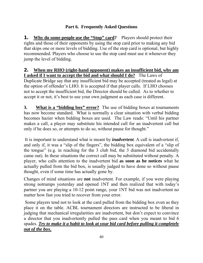# **Part 6. Frequently Asked Questions**

**1.** Why do some people use the "Stop" card? Players should protect their rights and those of their opponents by using the stop card prior to making any bid that skips one or more levels of bidding. Use of the stop card is optional, but highly recommended. Players who choose to use the stop card must use it whenever they jump the level of bidding.

**2. When my RHO (right-hand opponent) makes an insufficient bid, why am I asked if I want to accept the bid and what should I do?** The Laws of Duplicate Bridge say that any insufficient bid may be accepted (treated as legal) at the option of offender's LHO. It is accepted if that player calls. If LHO chooses not to accept the insufficient bid, the Director should be called. As to whether to accept it or not, it's best to use your own judgment as each case is different.

**3.** What is a "bidding box" error? The use of bidding boxes at tournaments has now become standard. What is normally a clear situation with verbal bidding becomes hazier when bidding boxes are used. The Law reads: "Until his partner makes a call, a player may substitute his intended call for an inadvertent call but only if he does so, or attempts to do so, without pause for thought."

 It is important to understand what is meant by *inadvertent*. A call is inadvertent if, and only if, it was a "slip of the fingers", the bidding box equivalent of a "slip of the tongue" (e.g. in reaching for the 3 club bid, the 3 diamond bid accidentally came out). In these situations the correct call may be substituted without penalty. A player, who calls attention to the inadvertent bid **as soon as he notices** what he actually pulled from the bid box, is usually judged to have done so without pause thought, even if some time has actually gone by.

Changes of mind situations are **not** inadvertent. For example, if you were playing strong notrumps yesterday and opened 1NT and then realized that with today's partner you are playing a 10-12 point range, your 1NT bid was not inadvertent no matter how fast you tried to recover from your error.

 Some players tend not to look at the card pulled from the bidding box even as they place it on the table. ACBL tournament directors are instructed to be liberal in judging that mechanical irregularities are inadvertent, but don't expect to convince a director that you inadvertently pulled the pass card when you meant to bid 6 spades. *Try to make it a habit to look at your bid card before pulling it completely out of the box.*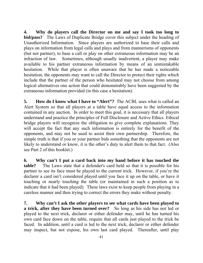**4. Why do players call the Director on me and say I took too long to bid/pass?** The Laws of Duplicate Bridge cover this subject under the heading of Unauthorized Information. Since players are authorized to base their calls and plays on information from legal calls and plays and from mannerisms of opponents (but not partner), to base a call or play on other extraneous information may be an infraction of law. Sometimes, although usually inadvertent, a player may make available to his partner extraneous information by means of an unmistakable hesitation. While that player is often unaware that he has made a noticeable hesitation, the opponents may want to call the Director to protect their rights which include that the partner of the person who hesitated may not choose from among logical alternatives one action that could demonstrably have been suggested by the extraneous information provided (in this case a hesitation).

**5. How do I know what I have to "Alert"?** The ACBL uses what is called an Alert System so that all players at a table have equal access to the information contained in any auction. In order to meet this goal, it is necessary that all players understand and practice the principles of Full Disclosure and Active Ethics. Ethical bridge players will recognize the obligation to give complete explanations. They will accept the fact that any such information is entirely for the benefit of the opponents, and may not be used to assist their own partnership. Therefore, the simple truth is that if you or your partner bids something that the opponents are not likely to understand or know, it is the other's duty to alert them to that fact. (Also see Part 2 of this booklet.)

**6. Why can't I put a card back into my hand before it has touched the table?** The Laws state that a defender's card held so that it is possible for his partner to see its face must be played to the current trick. However, if you're the declarer a card isn't considered played until you face it up on the table, or have it touching or nearly touching the table (or maintained in such a position as to indicate that it had been played). These laws exist to keep people from playing in a careless manner and then trying to correct the errors they make without penalty.

**7. Why can't I ask the other players to see what cards have been played to a trick, after they have been turned over?** So long as his side has not led or played to the next trick, declarer or either defender may, until he has turned his own card face down on the table, require that all cards just played to the trick be faced. In addition, until a card is led to the next trick, declarer or either defender may inspect, but not expose, his own last card played. Thereafter, until play